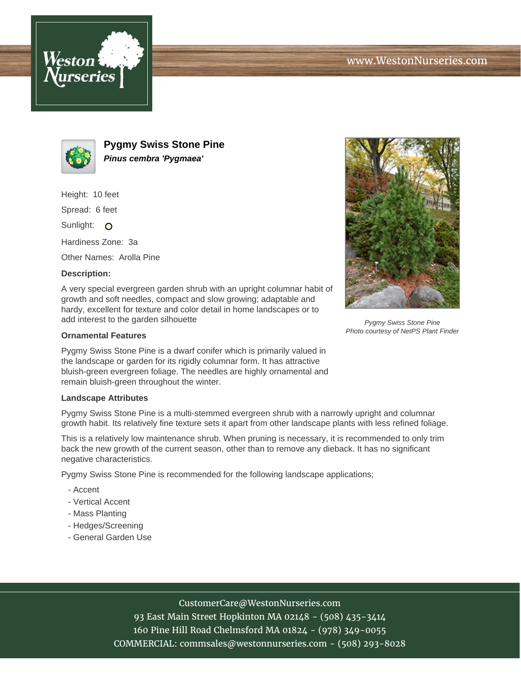



**Pygmy Swiss Stone Pine Pinus cembra 'Pygmaea'**

Height: 10 feet

Spread: 6 feet

Sunlight: O

Hardiness Zone: 3a

Other Names: Arolla Pine

## **Description:**

A very special evergreen garden shrub with an upright columnar habit of growth and soft needles, compact and slow growing; adaptable and hardy, excellent for texture and color detail in home landscapes or to add interest to the garden silhouette

## **Ornamental Features**

Pygmy Swiss Stone Pine is a dwarf conifer which is primarily valued in the landscape or garden for its rigidly columnar form. It has attractive bluish-green evergreen foliage. The needles are highly ornamental and remain bluish-green throughout the winter.

## **Landscape Attributes**

Pygmy Swiss Stone Pine is a multi-stemmed evergreen shrub with a narrowly upright and columnar growth habit. Its relatively fine texture sets it apart from other landscape plants with less refined foliage.

This is a relatively low maintenance shrub. When pruning is necessary, it is recommended to only trim back the new growth of the current season, other than to remove any dieback. It has no significant negative characteristics.

Pygmy Swiss Stone Pine is recommended for the following landscape applications;

- Accent
- Vertical Accent
- Mass Planting
- Hedges/Screening
- General Garden Use



93 East Main Street Hopkinton MA 02148 - (508) 435-3414 160 Pine Hill Road Chelmsford MA 01824 - (978) 349-0055 COMMERCIAL: commsales@westonnurseries.com - (508) 293-8028



Pygmy Swiss Stone Pine Photo courtesy of NetPS Plant Finder